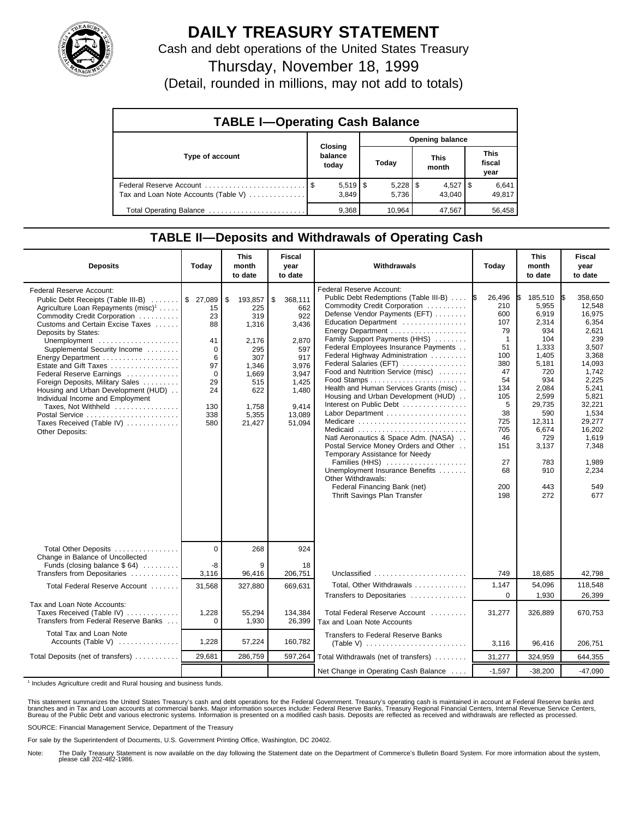

## **DAILY TREASURY STATEMENT**

Cash and debt operations of the United States Treasury

Thursday, November 18, 1999

(Detail, rounded in millions, may not add to totals)

| <b>TABLE I-Operating Cash Balance</b> |                             |        |                        |                               |  |  |  |  |
|---------------------------------------|-----------------------------|--------|------------------------|-------------------------------|--|--|--|--|
|                                       |                             |        | <b>Opening balance</b> |                               |  |  |  |  |
| Type of account                       | Closing<br>balance<br>today | Today  | <b>This</b><br>month   | <b>This</b><br>fiscal<br>year |  |  |  |  |
| Tax and Loan Note Accounts (Table V)  | $5,519$ $\sqrt{3}$<br>3.849 | 5.736  | $4,527$ S<br>43.040    | 6,641<br>49,817               |  |  |  |  |
| Total Operating Balance               | 9,368                       | 10.964 | 47,567                 | 56,458                        |  |  |  |  |

## **TABLE II—Deposits and Withdrawals of Operating Cash**

| <b>Deposits</b>                                                                                                                                                                                                                                                                                                                                                                                                                                                                                                                                           | Today                                                                                    | <b>This</b><br>month<br>to date                                                                                         | <b>Fiscal</b><br>year<br>to date                                                                                             | Withdrawals                                                                                                                                                                                                                                                                                                                                                                                                                                                                                                                                                                                                                                                                                                                                                                             | Today                                                                                                                                                                    | <b>This</b><br>month<br>to date                                                                                                                                                             | <b>Fiscal</b><br>year<br>to date                                                                                                                                                                                     |
|-----------------------------------------------------------------------------------------------------------------------------------------------------------------------------------------------------------------------------------------------------------------------------------------------------------------------------------------------------------------------------------------------------------------------------------------------------------------------------------------------------------------------------------------------------------|------------------------------------------------------------------------------------------|-------------------------------------------------------------------------------------------------------------------------|------------------------------------------------------------------------------------------------------------------------------|-----------------------------------------------------------------------------------------------------------------------------------------------------------------------------------------------------------------------------------------------------------------------------------------------------------------------------------------------------------------------------------------------------------------------------------------------------------------------------------------------------------------------------------------------------------------------------------------------------------------------------------------------------------------------------------------------------------------------------------------------------------------------------------------|--------------------------------------------------------------------------------------------------------------------------------------------------------------------------|---------------------------------------------------------------------------------------------------------------------------------------------------------------------------------------------|----------------------------------------------------------------------------------------------------------------------------------------------------------------------------------------------------------------------|
| Federal Reserve Account:<br>Public Debt Receipts (Table III-B)  \$ 27,089<br>Agriculture Loan Repayments (misc) <sup>1</sup><br>Commodity Credit Corporation<br>Customs and Certain Excise Taxes<br>Deposits by States:<br>Unemployment<br>Supplemental Security Income<br>Energy Department<br>Estate and Gift Taxes<br>Federal Reserve Earnings<br>Foreign Deposits, Military Sales<br>Housing and Urban Development (HUD)<br>Individual Income and Employment<br>Taxes, Not Withheld<br>Postal Service<br>Taxes Received (Table IV)<br>Other Deposits: | 15<br>23<br>88<br>41<br>$\Omega$<br>6<br>97<br>$\Omega$<br>29<br>24<br>130<br>338<br>580 | \$<br>193,857<br>225<br>319<br>1,316<br>2,176<br>295<br>307<br>1,346<br>1,669<br>515<br>622<br>1,758<br>5,355<br>21,427 | \$<br>368,111<br>662<br>922<br>3,436<br>2,870<br>597<br>917<br>3,976<br>3,947<br>1,425<br>1,480<br>9.414<br>13,089<br>51,094 | <b>Federal Reserve Account:</b><br>Public Debt Redemptions (Table III-B)<br>Commodity Credit Corporation<br>Defense Vendor Payments (EFT)<br>Education Department<br>Energy Department<br>Family Support Payments (HHS)<br>Federal Employees Insurance Payments<br>Federal Highway Administration<br>Federal Salaries (EFT)<br>Food and Nutrition Service (misc)<br>Health and Human Services Grants (misc)<br>Housing and Urban Development (HUD)<br>Interest on Public Debt<br>Labor Department<br>Medicare<br>Medicaid<br>Natl Aeronautics & Space Adm. (NASA)<br>Postal Service Money Orders and Other<br>Temporary Assistance for Needy<br>Families (HHS)<br>Unemployment Insurance Benefits<br>Other Withdrawals:<br>Federal Financing Bank (net)<br>Thrift Savings Plan Transfer | 26,496<br>1\$<br>210<br>600<br>107<br>79<br>$\overline{1}$<br>51<br>100<br>380<br>47<br>54<br>134<br>105<br>5<br>38<br>725<br>705<br>46<br>151<br>27<br>68<br>200<br>198 | 185,510<br>5.955<br>6,919<br>2,314<br>934<br>104<br>1,333<br>1,405<br>5,181<br>720<br>934<br>2,084<br>2,599<br>29,735<br>590<br>12,311<br>6.674<br>729<br>3,137<br>783<br>910<br>443<br>272 | 358.650<br>I\$<br>12.548<br>16,975<br>6,354<br>2,621<br>239<br>3,507<br>3,368<br>14,093<br>1.742<br>2,225<br>5,241<br>5,821<br>32,221<br>1,534<br>29,277<br>16,202<br>1.619<br>7,348<br>1,989<br>2,234<br>549<br>677 |
| Total Other Deposits<br>Change in Balance of Uncollected                                                                                                                                                                                                                                                                                                                                                                                                                                                                                                  | $\Omega$                                                                                 | 268                                                                                                                     | 924                                                                                                                          |                                                                                                                                                                                                                                                                                                                                                                                                                                                                                                                                                                                                                                                                                                                                                                                         |                                                                                                                                                                          |                                                                                                                                                                                             |                                                                                                                                                                                                                      |
| Funds (closing balance $$64)$<br>Transfers from Depositaries                                                                                                                                                                                                                                                                                                                                                                                                                                                                                              | -8<br>3,116                                                                              | 9<br>96,416                                                                                                             | 18<br>206,751                                                                                                                | Unclassified                                                                                                                                                                                                                                                                                                                                                                                                                                                                                                                                                                                                                                                                                                                                                                            | 749                                                                                                                                                                      | 18,685                                                                                                                                                                                      | 42,798                                                                                                                                                                                                               |
| Total Federal Reserve Account                                                                                                                                                                                                                                                                                                                                                                                                                                                                                                                             | 31,568                                                                                   | 327,880                                                                                                                 | 669,631                                                                                                                      | Total, Other Withdrawals<br>Transfers to Depositaries                                                                                                                                                                                                                                                                                                                                                                                                                                                                                                                                                                                                                                                                                                                                   | 1,147<br>$\Omega$                                                                                                                                                        | 54,096<br>1,930                                                                                                                                                                             | 118,548<br>26,399                                                                                                                                                                                                    |
| Tax and Loan Note Accounts:<br>Taxes Received (Table IV)<br>Transfers from Federal Reserve Banks                                                                                                                                                                                                                                                                                                                                                                                                                                                          | 1,228<br>$\Omega$                                                                        | 55,294<br>1,930                                                                                                         | 134,384<br>26,399                                                                                                            | Total Federal Reserve Account<br>Tax and Loan Note Accounts                                                                                                                                                                                                                                                                                                                                                                                                                                                                                                                                                                                                                                                                                                                             | 31,277                                                                                                                                                                   | 326,889                                                                                                                                                                                     | 670,753                                                                                                                                                                                                              |
| Total Tax and Loan Note<br>Accounts (Table V)                                                                                                                                                                                                                                                                                                                                                                                                                                                                                                             | 1,228                                                                                    | 57,224                                                                                                                  | 160,782                                                                                                                      | <b>Transfers to Federal Reserve Banks</b>                                                                                                                                                                                                                                                                                                                                                                                                                                                                                                                                                                                                                                                                                                                                               | 3,116                                                                                                                                                                    | 96,416                                                                                                                                                                                      | 206,751                                                                                                                                                                                                              |
| Total Deposits (net of transfers)                                                                                                                                                                                                                                                                                                                                                                                                                                                                                                                         | 29,681                                                                                   | 286,759                                                                                                                 | 597,264                                                                                                                      | Total Withdrawals (net of transfers)                                                                                                                                                                                                                                                                                                                                                                                                                                                                                                                                                                                                                                                                                                                                                    | 31,277                                                                                                                                                                   | 324,959                                                                                                                                                                                     | 644,355                                                                                                                                                                                                              |
|                                                                                                                                                                                                                                                                                                                                                                                                                                                                                                                                                           |                                                                                          |                                                                                                                         |                                                                                                                              | Net Change in Operating Cash Balance                                                                                                                                                                                                                                                                                                                                                                                                                                                                                                                                                                                                                                                                                                                                                    | $-1,597$                                                                                                                                                                 | $-38,200$                                                                                                                                                                                   | $-47,090$                                                                                                                                                                                                            |

<sup>1</sup> Includes Agriculture credit and Rural housing and business funds.

This statement summarizes the United States Treasury's cash and debt operations for the Federal Government. Treasury's operating cash is maintained in account at Federal Reserve banks and<br>branches and in Tax and Loan accou

SOURCE: Financial Management Service, Department of the Treasury

For sale by the Superintendent of Documents, U.S. Government Printing Office, Washington, DC 20402.

Note: The Daily Treasury Statement is now available on the day following the Statement date on the Department of Commerce's Bulletin Board System. For more information about the system, please call 202-482-1986.